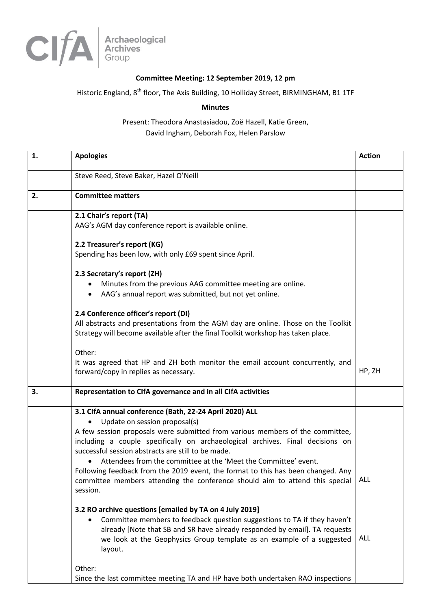

## **Committee Meeting: 12 September 2019, 12 pm**

## Historic England, 8<sup>th</sup> floor, The Axis Building, 10 Holliday Street, BIRMINGHAM, B1 1TF

**Minutes**

Present: Theodora Anastasiadou, Zoë Hazell, Katie Green, David Ingham, Deborah Fox, Helen Parslow

| 1. | <b>Apologies</b>                                                                                                                                                                                                                                                                                                                                                                                                                                                                                                                                                                                                                                                                                                                                                                                                                                                                   | <b>Action</b>     |
|----|------------------------------------------------------------------------------------------------------------------------------------------------------------------------------------------------------------------------------------------------------------------------------------------------------------------------------------------------------------------------------------------------------------------------------------------------------------------------------------------------------------------------------------------------------------------------------------------------------------------------------------------------------------------------------------------------------------------------------------------------------------------------------------------------------------------------------------------------------------------------------------|-------------------|
|    | Steve Reed, Steve Baker, Hazel O'Neill                                                                                                                                                                                                                                                                                                                                                                                                                                                                                                                                                                                                                                                                                                                                                                                                                                             |                   |
| 2. | <b>Committee matters</b>                                                                                                                                                                                                                                                                                                                                                                                                                                                                                                                                                                                                                                                                                                                                                                                                                                                           |                   |
|    | 2.1 Chair's report (TA)<br>AAG's AGM day conference report is available online.                                                                                                                                                                                                                                                                                                                                                                                                                                                                                                                                                                                                                                                                                                                                                                                                    |                   |
|    | 2.2 Treasurer's report (KG)<br>Spending has been low, with only £69 spent since April.                                                                                                                                                                                                                                                                                                                                                                                                                                                                                                                                                                                                                                                                                                                                                                                             |                   |
|    | 2.3 Secretary's report (ZH)<br>Minutes from the previous AAG committee meeting are online.<br>AAG's annual report was submitted, but not yet online.<br>$\bullet$                                                                                                                                                                                                                                                                                                                                                                                                                                                                                                                                                                                                                                                                                                                  |                   |
|    | 2.4 Conference officer's report (DI)<br>All abstracts and presentations from the AGM day are online. Those on the Toolkit<br>Strategy will become available after the final Toolkit workshop has taken place.                                                                                                                                                                                                                                                                                                                                                                                                                                                                                                                                                                                                                                                                      |                   |
|    | Other:<br>It was agreed that HP and ZH both monitor the email account concurrently, and<br>forward/copy in replies as necessary.                                                                                                                                                                                                                                                                                                                                                                                                                                                                                                                                                                                                                                                                                                                                                   | HP, ZH            |
| 3. | Representation to CIfA governance and in all CIfA activities                                                                                                                                                                                                                                                                                                                                                                                                                                                                                                                                                                                                                                                                                                                                                                                                                       |                   |
|    | 3.1 ClfA annual conference (Bath, 22-24 April 2020) ALL<br>Update on session proposal(s)<br>A few session proposals were submitted from various members of the committee,<br>including a couple specifically on archaeological archives. Final decisions on<br>successful session abstracts are still to be made.<br>Attendees from the committee at the 'Meet the Committee' event.<br>Following feedback from the 2019 event, the format to this has been changed. Any<br>committee members attending the conference should aim to attend this special<br>session.<br>3.2 RO archive questions [emailed by TA on 4 July 2019]<br>Committee members to feedback question suggestions to TA if they haven't<br>٠<br>already [Note that SB and SR have already responded by email]. TA requests<br>we look at the Geophysics Group template as an example of a suggested<br>layout. | ALL<br><b>ALL</b> |
|    | Other:<br>Since the last committee meeting TA and HP have both undertaken RAO inspections                                                                                                                                                                                                                                                                                                                                                                                                                                                                                                                                                                                                                                                                                                                                                                                          |                   |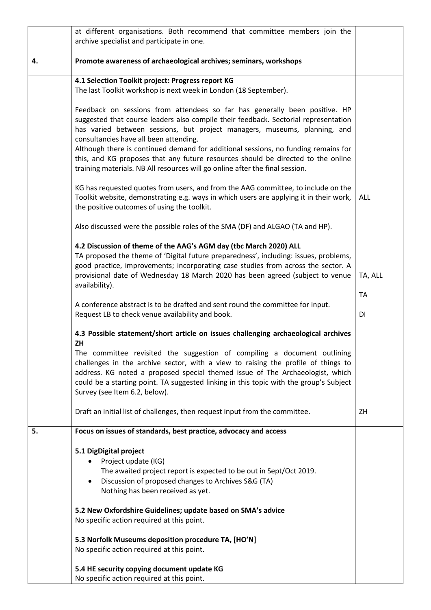|    | at different organisations. Both recommend that committee members join the                                                                                         |            |
|----|--------------------------------------------------------------------------------------------------------------------------------------------------------------------|------------|
|    | archive specialist and participate in one.                                                                                                                         |            |
| 4. | Promote awareness of archaeological archives; seminars, workshops                                                                                                  |            |
|    |                                                                                                                                                                    |            |
|    | 4.1 Selection Toolkit project: Progress report KG                                                                                                                  |            |
|    | The last Toolkit workshop is next week in London (18 September).                                                                                                   |            |
|    | Feedback on sessions from attendees so far has generally been positive. HP                                                                                         |            |
|    | suggested that course leaders also compile their feedback. Sectorial representation                                                                                |            |
|    | has varied between sessions, but project managers, museums, planning, and                                                                                          |            |
|    | consultancies have all been attending.                                                                                                                             |            |
|    | Although there is continued demand for additional sessions, no funding remains for                                                                                 |            |
|    | this, and KG proposes that any future resources should be directed to the online                                                                                   |            |
|    | training materials. NB All resources will go online after the final session.                                                                                       |            |
|    | KG has requested quotes from users, and from the AAG committee, to include on the                                                                                  |            |
|    | Toolkit website, demonstrating e.g. ways in which users are applying it in their work,                                                                             | <b>ALL</b> |
|    | the positive outcomes of using the toolkit.                                                                                                                        |            |
|    | Also discussed were the possible roles of the SMA (DF) and ALGAO (TA and HP).                                                                                      |            |
|    |                                                                                                                                                                    |            |
|    | 4.2 Discussion of theme of the AAG's AGM day (tbc March 2020) ALL                                                                                                  |            |
|    | TA proposed the theme of 'Digital future preparedness', including: issues, problems,                                                                               |            |
|    | good practice, improvements; incorporating case studies from across the sector. A<br>provisional date of Wednesday 18 March 2020 has been agreed (subject to venue | TA, ALL    |
|    | availability).                                                                                                                                                     |            |
|    |                                                                                                                                                                    | <b>TA</b>  |
|    | A conference abstract is to be drafted and sent round the committee for input.                                                                                     |            |
|    | Request LB to check venue availability and book.                                                                                                                   | DI         |
|    | 4.3 Possible statement/short article on issues challenging archaeological archives                                                                                 |            |
|    | ZH                                                                                                                                                                 |            |
|    | The committee revisited the suggestion of compiling a document outlining                                                                                           |            |
|    | challenges in the archive sector, with a view to raising the profile of things to<br>address. KG noted a proposed special themed issue of The Archaeologist, which |            |
|    | could be a starting point. TA suggested linking in this topic with the group's Subject                                                                             |            |
|    | Survey (see Item 6.2, below).                                                                                                                                      |            |
|    |                                                                                                                                                                    |            |
|    | Draft an initial list of challenges, then request input from the committee.                                                                                        | ZH         |
| 5. | Focus on issues of standards, best practice, advocacy and access                                                                                                   |            |
|    |                                                                                                                                                                    |            |
|    | 5.1 DigDigital project                                                                                                                                             |            |
|    | Project update (KG)                                                                                                                                                |            |
|    | The awaited project report is expected to be out in Sept/Oct 2019.<br>Discussion of proposed changes to Archives S&G (TA)<br>$\bullet$                             |            |
|    | Nothing has been received as yet.                                                                                                                                  |            |
|    |                                                                                                                                                                    |            |
|    | 5.2 New Oxfordshire Guidelines; update based on SMA's advice                                                                                                       |            |
|    | No specific action required at this point.                                                                                                                         |            |
|    | 5.3 Norfolk Museums deposition procedure TA, [HO'N]                                                                                                                |            |
|    | No specific action required at this point.                                                                                                                         |            |
|    |                                                                                                                                                                    |            |
|    | 5.4 HE security copying document update KG                                                                                                                         |            |
|    | No specific action required at this point.                                                                                                                         |            |